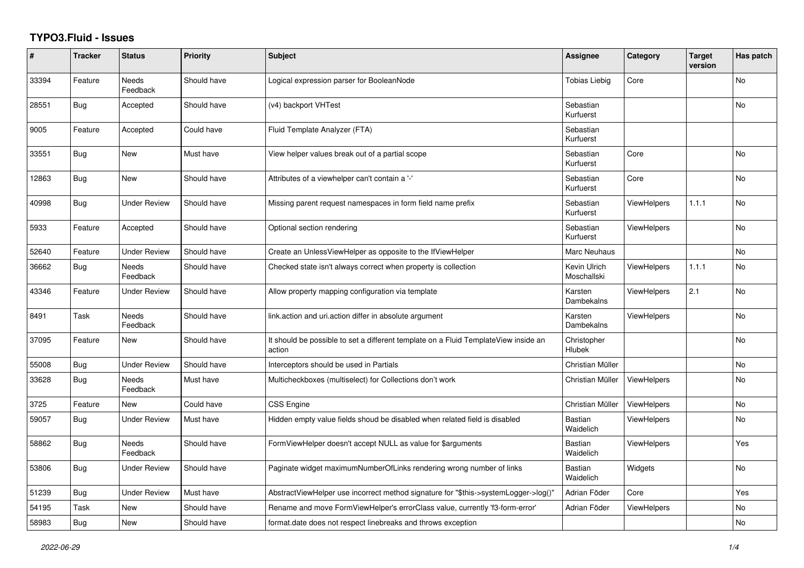## **TYPO3.Fluid - Issues**

| #     | <b>Tracker</b> | <b>Status</b>            | Priority    | Subject                                                                                       | <b>Assignee</b>              | Category           | <b>Target</b><br>version | Has patch |
|-------|----------------|--------------------------|-------------|-----------------------------------------------------------------------------------------------|------------------------------|--------------------|--------------------------|-----------|
| 33394 | Feature        | <b>Needs</b><br>Feedback | Should have | Logical expression parser for BooleanNode                                                     | <b>Tobias Liebig</b>         | Core               |                          | <b>No</b> |
| 28551 | <b>Bug</b>     | Accepted                 | Should have | (v4) backport VHTest                                                                          | Sebastian<br>Kurfuerst       |                    |                          | <b>No</b> |
| 9005  | Feature        | Accepted                 | Could have  | Fluid Template Analyzer (FTA)                                                                 | Sebastian<br>Kurfuerst       |                    |                          |           |
| 33551 | <b>Bug</b>     | New                      | Must have   | View helper values break out of a partial scope                                               | Sebastian<br>Kurfuerst       | Core               |                          | No        |
| 12863 | <b>Bug</b>     | New                      | Should have | Attributes of a viewhelper can't contain a '-'                                                | Sebastian<br>Kurfuerst       | Core               |                          | <b>No</b> |
| 40998 | <b>Bug</b>     | <b>Under Review</b>      | Should have | Missing parent request namespaces in form field name prefix                                   | Sebastian<br>Kurfuerst       | <b>ViewHelpers</b> | 1.1.1                    | <b>No</b> |
| 5933  | Feature        | Accepted                 | Should have | Optional section rendering                                                                    | Sebastian<br>Kurfuerst       | <b>ViewHelpers</b> |                          | <b>No</b> |
| 52640 | Feature        | <b>Under Review</b>      | Should have | Create an UnlessViewHelper as opposite to the IfViewHelper                                    | Marc Neuhaus                 |                    |                          | No        |
| 36662 | <b>Bug</b>     | <b>Needs</b><br>Feedback | Should have | Checked state isn't always correct when property is collection                                | Kevin Ulrich<br>Moschallski  | <b>ViewHelpers</b> | 1.1.1                    | <b>No</b> |
| 43346 | Feature        | Under Review             | Should have | Allow property mapping configuration via template                                             | Karsten<br>Dambekalns        | <b>ViewHelpers</b> | 2.1                      | No        |
| 8491  | Task           | Needs<br>Feedback        | Should have | link.action and uri.action differ in absolute argument                                        | Karsten<br>Dambekalns        | <b>ViewHelpers</b> |                          | No        |
| 37095 | Feature        | New                      | Should have | It should be possible to set a different template on a Fluid TemplateView inside an<br>action | Christopher<br><b>Hlubek</b> |                    |                          | <b>No</b> |
| 55008 | Bug            | <b>Under Review</b>      | Should have | Interceptors should be used in Partials                                                       | Christian Müller             |                    |                          | <b>No</b> |
| 33628 | Bug            | <b>Needs</b><br>Feedback | Must have   | Multicheckboxes (multiselect) for Collections don't work                                      | Christian Müller             | <b>ViewHelpers</b> |                          | No        |
| 3725  | Feature        | New                      | Could have  | CSS Engine                                                                                    | Christian Müller             | ViewHelpers        |                          | No        |
| 59057 | Bug            | <b>Under Review</b>      | Must have   | Hidden empty value fields shoud be disabled when related field is disabled                    | Bastian<br>Waidelich         | <b>ViewHelpers</b> |                          | <b>No</b> |
| 58862 | <b>Bug</b>     | Needs<br>Feedback        | Should have | FormViewHelper doesn't accept NULL as value for \$arguments                                   | Bastian<br>Waidelich         | <b>ViewHelpers</b> |                          | Yes       |
| 53806 | Bug            | <b>Under Review</b>      | Should have | Paginate widget maximumNumberOfLinks rendering wrong number of links                          | Bastian<br>Waidelich         | Widgets            |                          | No        |
| 51239 | Bug            | <b>Under Review</b>      | Must have   | AbstractViewHelper use incorrect method signature for "\$this->systemLogger->log()"           | Adrian Föder                 | Core               |                          | Yes       |
| 54195 | Task           | New                      | Should have | Rename and move FormViewHelper's errorClass value, currently 'f3-form-error'                  | Adrian Föder                 | <b>ViewHelpers</b> |                          | No        |
| 58983 | Bug            | New                      | Should have | format.date does not respect linebreaks and throws exception                                  |                              |                    |                          | No        |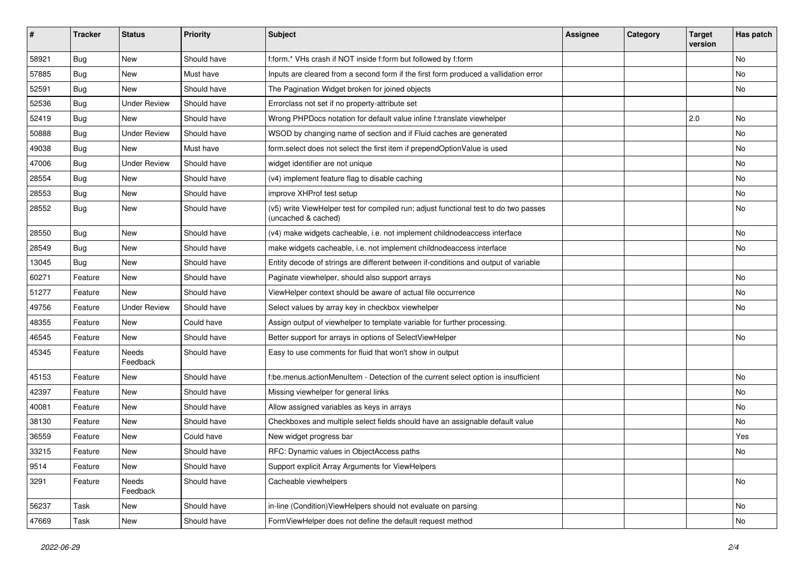| ∦     | <b>Tracker</b> | <b>Status</b>       | <b>Priority</b> | Subject                                                                                                     | Assignee | Category | <b>Target</b><br>version | Has patch |
|-------|----------------|---------------------|-----------------|-------------------------------------------------------------------------------------------------------------|----------|----------|--------------------------|-----------|
| 58921 | Bug            | New                 | Should have     | f:form.* VHs crash if NOT inside f:form but followed by f:form                                              |          |          |                          | No        |
| 57885 | <b>Bug</b>     | New                 | Must have       | Inputs are cleared from a second form if the first form produced a vallidation error                        |          |          |                          | No        |
| 52591 | Bug            | New                 | Should have     | The Pagination Widget broken for joined objects                                                             |          |          |                          | No        |
| 52536 | Bug            | <b>Under Review</b> | Should have     | Errorclass not set if no property-attribute set                                                             |          |          |                          |           |
| 52419 | <b>Bug</b>     | New                 | Should have     | Wrong PHPDocs notation for default value inline f:translate viewhelper                                      |          |          | 2.0                      | No        |
| 50888 | <b>Bug</b>     | Under Review        | Should have     | WSOD by changing name of section and if Fluid caches are generated                                          |          |          |                          | No        |
| 49038 | Bug            | New                 | Must have       | form.select does not select the first item if prependOptionValue is used                                    |          |          |                          | No        |
| 47006 | Bug            | <b>Under Review</b> | Should have     | widget identifier are not unique                                                                            |          |          |                          | No        |
| 28554 | Bug            | New                 | Should have     | (v4) implement feature flag to disable caching                                                              |          |          |                          | No        |
| 28553 | <b>Bug</b>     | New                 | Should have     | improve XHProf test setup                                                                                   |          |          |                          | No        |
| 28552 | Bug            | New                 | Should have     | (v5) write ViewHelper test for compiled run; adjust functional test to do two passes<br>(uncached & cached) |          |          |                          | No        |
| 28550 | Bug            | New                 | Should have     | (v4) make widgets cacheable, i.e. not implement childnodeaccess interface                                   |          |          |                          | No        |
| 28549 | Bug            | <b>New</b>          | Should have     | make widgets cacheable, i.e. not implement childnodeaccess interface                                        |          |          |                          | No        |
| 13045 | Bug            | New                 | Should have     | Entity decode of strings are different between if-conditions and output of variable                         |          |          |                          |           |
| 60271 | Feature        | New                 | Should have     | Paginate viewhelper, should also support arrays                                                             |          |          |                          | No        |
| 51277 | Feature        | <b>New</b>          | Should have     | ViewHelper context should be aware of actual file occurrence                                                |          |          |                          | No        |
| 49756 | Feature        | <b>Under Review</b> | Should have     | Select values by array key in checkbox viewhelper                                                           |          |          |                          | No        |
| 48355 | Feature        | New                 | Could have      | Assign output of viewhelper to template variable for further processing.                                    |          |          |                          |           |
| 46545 | Feature        | New                 | Should have     | Better support for arrays in options of SelectViewHelper                                                    |          |          |                          | No        |
| 45345 | Feature        | Needs<br>Feedback   | Should have     | Easy to use comments for fluid that won't show in output                                                    |          |          |                          |           |
| 45153 | Feature        | New                 | Should have     | f:be.menus.actionMenuItem - Detection of the current select option is insufficient                          |          |          |                          | No        |
| 42397 | Feature        | New                 | Should have     | Missing viewhelper for general links                                                                        |          |          |                          | No        |
| 40081 | Feature        | New                 | Should have     | Allow assigned variables as keys in arrays                                                                  |          |          |                          | No        |
| 38130 | Feature        | New                 | Should have     | Checkboxes and multiple select fields should have an assignable default value                               |          |          |                          | No        |
| 36559 | Feature        | <b>New</b>          | Could have      | New widget progress bar                                                                                     |          |          |                          | Yes       |
| 33215 | Feature        | New                 | Should have     | RFC: Dynamic values in ObjectAccess paths                                                                   |          |          |                          | No        |
| 9514  | Feature        | New                 | Should have     | Support explicit Array Arguments for ViewHelpers                                                            |          |          |                          |           |
| 3291  | Feature        | Needs<br>Feedback   | Should have     | Cacheable viewhelpers                                                                                       |          |          |                          | No        |
| 56237 | Task           | New                 | Should have     | in-line (Condition)ViewHelpers should not evaluate on parsing                                               |          |          |                          | No        |
| 47669 | Task           | New                 | Should have     | FormViewHelper does not define the default request method                                                   |          |          |                          | No        |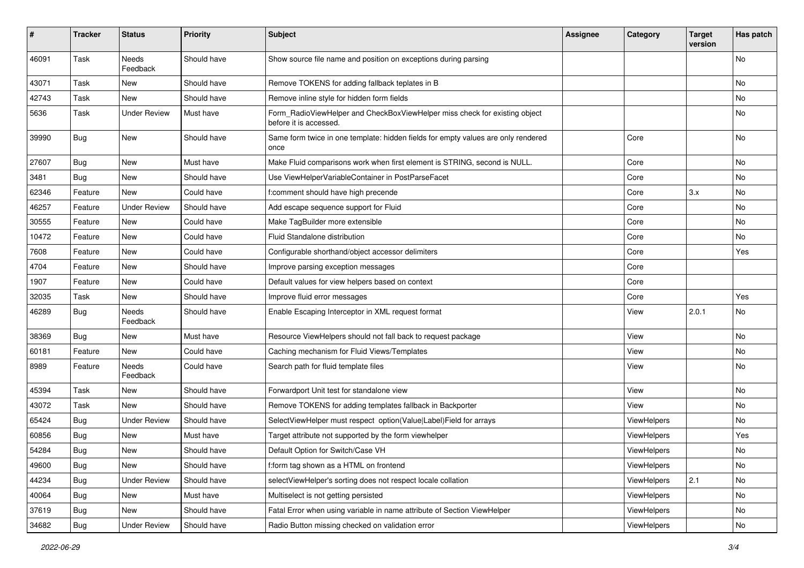| #     | <b>Tracker</b> | <b>Status</b>       | <b>Priority</b> | Subject                                                                                              | <b>Assignee</b> | Category           | <b>Target</b><br>version | Has patch |
|-------|----------------|---------------------|-----------------|------------------------------------------------------------------------------------------------------|-----------------|--------------------|--------------------------|-----------|
| 46091 | Task           | Needs<br>Feedback   | Should have     | Show source file name and position on exceptions during parsing                                      |                 |                    |                          | <b>No</b> |
| 43071 | Task           | New                 | Should have     | Remove TOKENS for adding fallback teplates in B                                                      |                 |                    |                          | No        |
| 42743 | Task           | <b>New</b>          | Should have     | Remove inline style for hidden form fields                                                           |                 |                    |                          | No        |
| 5636  | Task           | <b>Under Review</b> | Must have       | Form_RadioViewHelper and CheckBoxViewHelper miss check for existing object<br>before it is accessed. |                 |                    |                          | No        |
| 39990 | Bug            | New                 | Should have     | Same form twice in one template: hidden fields for empty values are only rendered<br>once            |                 | Core               |                          | No        |
| 27607 | Bug            | New                 | Must have       | Make Fluid comparisons work when first element is STRING, second is NULL.                            |                 | Core               |                          | No        |
| 3481  | Bug            | New                 | Should have     | Use ViewHelperVariableContainer in PostParseFacet                                                    |                 | Core               |                          | No        |
| 62346 | Feature        | New                 | Could have      | f:comment should have high precende                                                                  |                 | Core               | 3.x                      | No        |
| 46257 | Feature        | <b>Under Review</b> | Should have     | Add escape sequence support for Fluid                                                                |                 | Core               |                          | <b>No</b> |
| 30555 | Feature        | New                 | Could have      | Make TagBuilder more extensible                                                                      |                 | Core               |                          | No        |
| 10472 | Feature        | New                 | Could have      | Fluid Standalone distribution                                                                        |                 | Core               |                          | No        |
| 7608  | Feature        | New                 | Could have      | Configurable shorthand/object accessor delimiters                                                    |                 | Core               |                          | Yes       |
| 4704  | Feature        | New                 | Should have     | Improve parsing exception messages                                                                   |                 | Core               |                          |           |
| 1907  | Feature        | New                 | Could have      | Default values for view helpers based on context                                                     |                 | Core               |                          |           |
| 32035 | Task           | New                 | Should have     | Improve fluid error messages                                                                         |                 | Core               |                          | Yes       |
| 46289 | Bug            | Needs<br>Feedback   | Should have     | Enable Escaping Interceptor in XML request format                                                    |                 | View               | 2.0.1                    | No        |
| 38369 | Bug            | New                 | Must have       | Resource ViewHelpers should not fall back to request package                                         |                 | View               |                          | No        |
| 60181 | Feature        | New                 | Could have      | Caching mechanism for Fluid Views/Templates                                                          |                 | View               |                          | No        |
| 8989  | Feature        | Needs<br>Feedback   | Could have      | Search path for fluid template files                                                                 |                 | View               |                          | No        |
| 45394 | Task           | New                 | Should have     | Forwardport Unit test for standalone view                                                            |                 | View               |                          | <b>No</b> |
| 43072 | Task           | New                 | Should have     | Remove TOKENS for adding templates fallback in Backporter                                            |                 | View               |                          | No        |
| 65424 | Bug            | <b>Under Review</b> | Should have     | SelectViewHelper must respect option(Value Label)Field for arrays                                    |                 | ViewHelpers        |                          | No        |
| 60856 | <b>Bug</b>     | New                 | Must have       | Target attribute not supported by the form viewhelper                                                |                 | <b>ViewHelpers</b> |                          | Yes       |
| 54284 | Bug            | New                 | Should have     | Default Option for Switch/Case VH                                                                    |                 | ViewHelpers        |                          | No        |
| 49600 | Bug            | New                 | Should have     | f:form tag shown as a HTML on frontend                                                               |                 | ViewHelpers        |                          | No        |
| 44234 | Bug            | <b>Under Review</b> | Should have     | selectViewHelper's sorting does not respect locale collation                                         |                 | ViewHelpers        | 2.1                      | No        |
| 40064 | Bug            | New                 | Must have       | Multiselect is not getting persisted                                                                 |                 | ViewHelpers        |                          | No        |
| 37619 | Bug            | New                 | Should have     | Fatal Error when using variable in name attribute of Section ViewHelper                              |                 | ViewHelpers        |                          | No        |
| 34682 | Bug            | <b>Under Review</b> | Should have     | Radio Button missing checked on validation error                                                     |                 | ViewHelpers        |                          | No        |